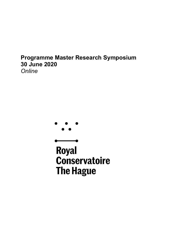# **Programme Master Research Symposium 30 June 2020**  *Online*



**Royal Conservatoire The Hague**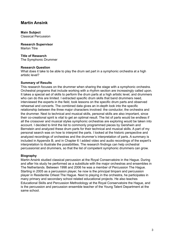### **Martin Ansink**

#### **Main Subject** Classical Percussion

**Research Supervisor** Marlon Titre

### **Title of Research**

The Symphonic Drummer

### **Research Question**

What does it take to be able to play the drum set part in a symphonic orchestra at a high artistic level?

### **Summary of Results**

This research focuses on the drummer when sharing the stage with a symphonic orchestra. Orchestral programs that include working with a rhythm section are increasingly called upon. It takes a special set of skills to perform the drum parts at a high artistic level, and drummers who can do this are limited. I extracted specific drum skills that band drummers need. interviewed the experts in the field, took lessons on the specific drum parts and observed rehearsal and concerts. The combined data gives an in-depth look into the specific relationship between the three major characters involved: the conductor, the orchestra and the drummer. Next to technical and musical skills, personal skills are also important, since their co-creational spirit is vital to get an optimal result. The list of parts would be endless if all the crossover and musical styles symphonic orchestras are exploring would be taken into account. I decided to limit the list to commonly programmed pieces by Gershwin and Bernstein and analyzed these drum parts for their technical and musical skills. A part of my personal search was on how to interpret the parts. I looked at the historic perspective and analyzed recordings of orchestras and the drummer's interpretation of parts. A summary is included in Appendix B, and in Chapter 6 I added video and audio recordings of the expert's interpretation to illustrate the possibilities. The research findings can help orchestral percussionist and drummers, so that the list of competent symphonic drummers can grow.

### **Biography**

Martin Ansink studied classical percussion at the Royal Conservatoire in the Hague. During and after his study he performed as a substitute with the major orchestras and ensembles in The Netherlands. Between 1998 and 2006 he was a member of Percussion The Hague. Starting in 2005 as a percussion player, he now is the principal timpani and percussion player in Residentie Orkest The Hague. Next to playing in the orchestra, he participates in many primary and secondary school related educational projects. He also teaches Educational Skills and Percussion Methodology at the Royal Conservatoire the Hague, and is the percussion and percussion ensemble teacher of the Young Talent Department at the same school.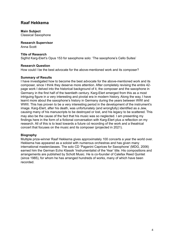# **Raaf Hekkema**

**Main Subject** Classical Saxophone

**Research Supervisor** Anna Scott

### **Title of Research**

Sigfrid Karg-Elert's Opus 153 for saxophone solo: 'The saxophone's Cello Suites'

### **Research Question**

How could I be the best advocate for the above-mentioned work and its composer?

### **Summary of Results**

I have investigated how to become the best advocate for the above-mentioned work and its composer, since I think they deserve more attention. After completely revising the entire 42 page work I delved into the historical background of it, the composer and the saxophone in Germany in the first half of the twentieth century. Karg-Elert emerged from this as a most intriguing figure in a very interesting and pivotal era in modern history. Along the way, I have learnt more about the saxophone's history in Germany during the years between WWI and WWII. This has proven to be a very interesting period in the development of the instrument's image. Karg-Elert, after his death, was unfortunately (and wrongfully) identified as a Jew, causing many of his manuscripts to be destroyed or lost, and his legacy to be scattered. This may also be the cause of the fact that his music was so neglected. I am presenting my findings here in the form of a fictional conversation with Karg-Elert plus a reflection on my research. All of this is to lead towards a future cd recording of the work and a theatrical concert that focuses on the music and its composer (projected in 2021).

### **Biography**

Multiple prize-winner Raaf Hekkema gives approximately 100 concerts a year the world over. Hekkema has appeared as a soloist with numerous orchestras and has given many international masterclasses. The solo CD 'Paganini Caprices for Saxophone' (MDG, 2006) earned him the German Echo Klassik 'Instrumentalist of the Year' title. His compositions and arrangements are published by Schott Music. He is co-founder of Calefax Reed Quintet (since 1985), for whom he has arranged hundreds of works, many of which have been recorded.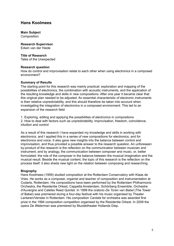### **Hans Koolmees**

**Main Subject Composition** 

**Research Supervisor** Edwin van der Heide

**Title of Research** Tales of the Unexpected

#### **Research question**

How do control and improvisation relate to each other when using electronics in a composed environment?

#### **Summary of Results**

The starting point for this research was mainly practical: exploration and mapping of the possibilities of electronics, the combination with acoustic instruments, and the application of the resulting knowledge and skills in new compositions. After one year it became clear that this original plan needed to be adjusted. An essential characteristic of electronic instruments is their relative unpredictability, and this should therefore be taken into account when investigating the integration of electronics in a composed environment. This led to an expansion of the research field:

1. Exploring, editing and applying the possibilities of electronics in compositions 2. How to deal with factors such as unpredictability, improvisation, freedom, coincidence, intuition and control

As a result of this research I have expanded my knowledge and skills in working with electronics, and I applied this in a series of new compositions for electronics, and for electronics and voice. It also gave new insights into the balance between control and improvisation, and thus provided a possible answer to the research question. An unforeseen by-product of the research is the reflection on the communication between musician and instrument, and by analogy, the communication between composer and music, or, better formulated: the role of the composer in the balance between the musical imagination and the musical result. Beside the musical content, the topic of this research is the reflection on the process itself: it also sheds new light on the relation between composing and researching.

### **Biography**

Hans Koolmees (1959) studied composition at the Rotterdam Conservatory with Klaas de Vries. He works as a composer, organist and teacher of composition and instrumentation at Codarts, Rotterdam. His compositions have been performed by the Rotterdam Philharmonic Orchestra, the Residentie Orkest, Cappella Amsterdam, Schönberg Ensemble, Orchestre d'Auvergne and Calefax Reed Quintet. In 1999 the oratorio *De Toren van Babel* (The Tower of Babel) was premiered during a four-day festival with his music organised by Theater Lantaren/Venster in Rotterdam. His composition *Cantate* for orchestra was awarded first prize in the 1994 composition competition organised by the Residentie Orkest. In 2009 the opera *De Waterman* was premiered by Muziektheater Hollands Diep.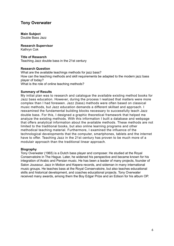### **Tony Overwater**

#### **Main Subject** Double Bass Jazz

**Research Supervisor**  Kathryn Cok

### **Title of Research**

Teaching Jazz double bass in the 21st century

### **Research Question**

What are the available teachings methods for jazz bass? How can the teaching methods and skill requirements be adapted to the modern jazz bass player of today? What is the role of online teaching methods?

#### **Summary of Results**

My initial plan was to research and catalogue the available existing method books for Jazz bass education. However, during the process I realized that matters were more complex than I had foreseen. Jazz (bass) methods were often based on classical music methods, but Jazz education demands a different skillset and approach. I reexamined the fundamental building blocks necessary to successfully teach Jazz double bass. For this, I designed a graphic theoretical framework that helped me analyze the existing methods. With this information I built a database and webpage that offers analytical information about the available methods. These methods are not limited to the traditional books, but also online learning programs and other methodical teaching material. Furthermore, I examined the influence of the technological developments that the computer, smartphones, tablets and the internet have to offer. Teaching Jazz in the 21st century has proven to be much more of a modulair approach than the traditional linear approach.

### **Biography**

Tony Overwater (1965) is a Dutch bass player and composer. He studied at the Royal Conservatoire in The Hague. Later, he widened his perspective and became known for his integration of Arabic and Persian music. He has been a leader of many projects, founder of Salon Joussour, Jazz in Motion and Kepera records, and sideman in many international music groups. He teaches bass at the Royal Conservatoire, but also teaches educational skills and historical development, and coaches educational projects. Tony Overwater received many awards, among them the Boy Edgar Prize and an Edison for his album OP.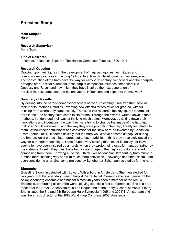# **Ernestine Stoop**

**Main Subject Harp** 

**Research Supervisor**  Anna Scott

### **Title of Research**

Innovator, Influencer, Explorer: The Harpist-Composer-Teacher, 1800-1914

### **Research Question**

Drawing upon key figures in the development of harp pedagogies, techniques and compositional practices in the long 19th century, how did developments in esteem, sound and construction of the harp pave the way for early 20th century composers and their harpistprotagonists? To what extent did these harpist-composers influence composers like Debussy and Ravel, and how might they have inspired the next generation of harpists (harpist-composers) to be innovators, influencers and explorers themselves?

### **Summary of Results**

By delving into the harpist-composer-teachers of the 19th century, I realized that I took all their merits (methods, studies, inventing new effects) far too much for granted, without thinking from where they came exactly. Thanks to this research, the key figures in terms of harp in the 19th century have come to life for me. Through their words, written down in their methods, I understood their way of thinking much better. Moreover, by writing down their innovations and inventions, the way they were trying to change the image of the harp into that of an 'adult' instrument, and the way they were promoting the harp, I really felt related to them. Without their enthusiasm and conviction for the 'new harp' as invented by Sébastien Erard (patent 1811), it seems unlikely that the harp would have become as popular during the Impressionist era as it later turned out to be. In addition, I think they absolutely paved the way for our modern technique. I also found it very striking that neither Debussy nor Ravel seems to have been inspired by a harpist when they wrote their pieces for harp, but rather by the instrument itself. They must have had a clear image of the harp's sound and started composing from there. Knowing all of this, I think I will be teaching 19th century harp music in a much more inspiring way and with much more conviction, knowledge and enthusiasm. I am even considering arranging some preludes by Schubert or Schumann as studies for the harp.

### **Biography**

Ernestine Stoop first studied with Edward Witsenburg in Amsterdam. She then studied for two years with the legendary French harpist Pierre Jamet. Currently she is a member of the Asko|Schönberg ensemble and has for almost 40 years been a member of the Nieuw Ensemble, performing all over the world, playing countless first performances. She is a harp teacher at the Royal Conservatoire in The Hague and at the Fontys School of Music, Tilburg. She initiated the 3rd and 5th European Harp Symposia (1995 and 2001) in Amsterdam and was the artistic director of the 10th World Harp Congress 2008, Amsterdam.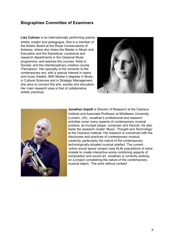### **Biographies Committee of Examiners**

**Lies Colman** is an internationally performing pianist, artistic creator and pedagogue. She is a member of the Artistic Board at the Royal Conservatoire of Antwerp, where she chairs the Master in Music and Education and the theoretical, contextual and research departments in the Classical Music programme, and teaches the courses 'Artist in Society' and the interdisciplinary creative course 'Parnassus'. Her specialty is the romantic to the contemporary era, with a special interest in opera and music theatre. With Master's degrees in Music, in Cultural Sciences and in Strategic Management, she aims to connect the arts, society and education. Her main research area is that of collaborative artistic practices.





**Jonathan Impett** is Director of Research at the Orpheus Institute and Associate Professor at Middlesex University (London, UK). Jonathan's professional and research activities cover many aspects of contemporary musical practice, as trumpet player, composer and theorist. He also leads the research cluster 'Music, Thought and Technology' at the Orpheus Institute. His research is concerned with the discourses and practices of contemporary musical creativity, particularly the nature of the contemporary technologically-situated musical artefact. The current 'active sound space' project uses ALife populations of wave models to create interactive works combining aspects of composition and sound art. Jonathan is currently working on a project considering the nature of the contemporary musical object, 'The work without content'.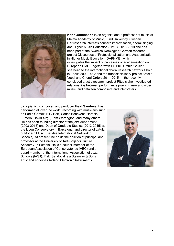

**Karin Johansson** is an organist and a professor of music at Malmö Academy of Music, Lund University, Sweden. Her research interests concern improvisation, choral singing and Higher Music Education (HME). 2016-2019 she has been part of the Swedish-Norwegian-German research project Discourses of Professionalisation and Academisation in Higher Music Education (DAPHME), which investigates the impact of processes of academisation on European HME. Together with Dr. Phil. Ursula Geisler she headed the international choral research network Choir in Focus 2009-2012 and the transdisciplinary project Artistic Vocal and Choral Orders 2014-2015. In the recently concluded artistic research project Rituals she investigated relationships between performance praxis in new and older music, and between composers and interpreters.

Jazz pianist, composer, and producer **Iñaki Sandoval** has performed all over the world, recording with musicians such as Eddie Gomez, Billy Hart, Carles Benavent, Horacio Fumero, David Xirgu, Tom Warrington, and many others. He has been founding director of the jazz department (2003-2015) and Dean of Graduate Studies (2013-2015) at the Liceu Conservatory in Barcelona, and director of L'Aula of Modern Music (Berklee International Network of Schools). At present, he holds the position of principal and professor at the University of Tartu Viljandi Culture Academy, in Estonia. He is a council member of the European Association of Conservatoires (AEC) and a board member of the International Association of Jazz Schools (IASJ). Iñaki Sandoval is a Steinway & Sons artist and endorses Roland Electronic Instruments.